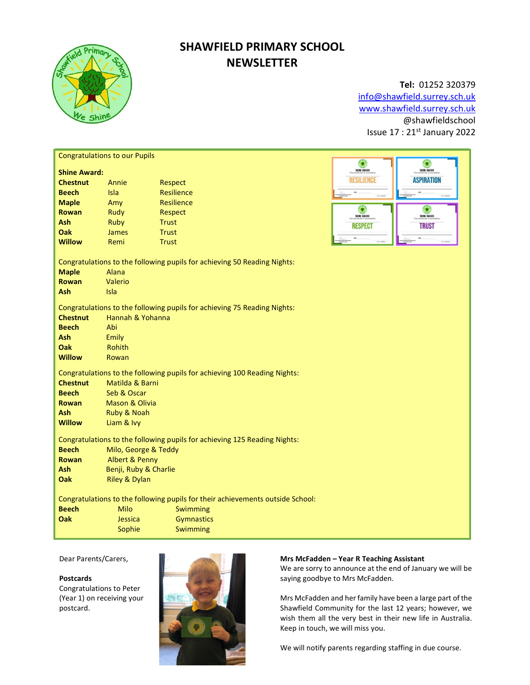

# SHAWFIELD PRIMARY SCHOOL **NEWSLETTER**

## Tel: 01252 320379

info@shawfield.surrey.sch.uk www.shawfield.surrey.sch.uk @shawfieldschool Issue 17 : 21st January 2022

| <b>Congratulations to our Pupils</b>                                                                                                                                                                                                                    |                                                                                                                                        |                                                                                                              |  |                                                                                     |                                                                      |  |
|---------------------------------------------------------------------------------------------------------------------------------------------------------------------------------------------------------------------------------------------------------|----------------------------------------------------------------------------------------------------------------------------------------|--------------------------------------------------------------------------------------------------------------|--|-------------------------------------------------------------------------------------|----------------------------------------------------------------------|--|
| <b>Shine Award:</b><br><b>Chestnut</b><br><b>Beech</b><br><b>Maple</b><br><b>Rowan</b><br><b>Ash</b><br>Oak<br><b>Willow</b>                                                                                                                            | Annie<br>Isla<br>Amy<br>Rudy<br>Ruby<br><b>James</b><br>Remi                                                                           | Respect<br><b>Resilience</b><br><b>Resilience</b><br>Respect<br><b>Trust</b><br><b>Trust</b><br><b>Trust</b> |  | $\bullet$<br>SHINE AWARD<br><b>RESILIENCE</b><br>٥<br>SHINE AWARD<br><b>RESPECT</b> | G<br>SHINE AWARD<br><b>ASPIRATION</b><br>SHINE AWARD<br><b>TRUST</b> |  |
| <b>Maple</b><br>Rowan<br><b>Ash</b>                                                                                                                                                                                                                     | Alana<br>Valerio<br><b>Isla</b>                                                                                                        | Congratulations to the following pupils for achieving 50 Reading Nights:                                     |  |                                                                                     |                                                                      |  |
| <b>Chestnut</b><br><b>Beech</b><br><b>Ash</b><br>Oak<br><b>Willow</b>                                                                                                                                                                                   | Congratulations to the following pupils for achieving 75 Reading Nights:<br>Hannah & Yohanna<br>Abi<br>Emily<br><b>Rohith</b><br>Rowan |                                                                                                              |  |                                                                                     |                                                                      |  |
| Congratulations to the following pupils for achieving 100 Reading Nights:<br><b>Chestnut</b><br>Matilda & Barni<br><b>Beech</b><br>Seb & Oscar<br><b>Mason &amp; Olivia</b><br><b>Rowan</b><br><b>Ash</b><br>Ruby & Noah<br><b>Willow</b><br>Liam & Ivy |                                                                                                                                        |                                                                                                              |  |                                                                                     |                                                                      |  |
| Congratulations to the following pupils for achieving 125 Reading Nights:<br><b>Beech</b><br>Milo, George & Teddy<br><b>Albert &amp; Penny</b><br><b>Rowan</b><br><b>Ash</b><br>Benji, Ruby & Charlie<br>Oak<br><b>Riley &amp; Dylan</b>                |                                                                                                                                        |                                                                                                              |  |                                                                                     |                                                                      |  |
| Congratulations to the following pupils for their achievements outside School:<br><b>Beech</b><br>Milo<br>Swimming<br>Oak<br><b>Gymnastics</b><br>Jessica<br>Sophie<br>Swimming                                                                         |                                                                                                                                        |                                                                                                              |  |                                                                                     |                                                                      |  |

Dear Parents/Carers,

### Postcards

Congratulations to Peter (Year 1) on receiving your postcard.



### Mrs McFadden – Year R Teaching Assistant

We are sorry to announce at the end of January we will be saying goodbye to Mrs McFadden.

Mrs McFadden and her family have been a large part of the Shawfield Community for the last 12 years; however, we wish them all the very best in their new life in Australia. Keep in touch, we will miss you.

We will notify parents regarding staffing in due course.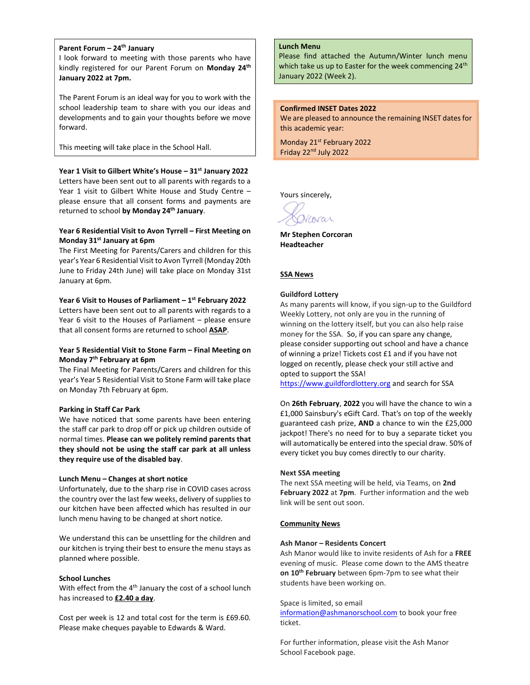### Parent Forum - 24<sup>th</sup> January

I look forward to meeting with those parents who have kindly registered for our Parent Forum on Monday 24<sup>th</sup> January 2022 at 7pm.

The Parent Forum is an ideal way for you to work with the school leadership team to share with you our ideas and developments and to gain your thoughts before we move forward.

This meeting will take place in the School Hall.

### Year 1 Visit to Gilbert White's House - 31st January 2022

Letters have been sent out to all parents with regards to a Year 1 visit to Gilbert White House and Study Centre – please ensure that all consent forms and payments are returned to school by Monday 24<sup>th</sup> January.

### Year 6 Residential Visit to Avon Tyrrell – First Meeting on Monday 31st January at 6pm

The First Meeting for Parents/Carers and children for this year's Year 6 Residential Visit to Avon Tyrrell (Monday 20th June to Friday 24th June) will take place on Monday 31st January at 6pm.

### Year 6 Visit to Houses of Parliament  $-1^{st}$  February 2022

Letters have been sent out to all parents with regards to a Year 6 visit to the Houses of Parliament – please ensure that all consent forms are returned to school ASAP.

### Year 5 Residential Visit to Stone Farm – Final Meeting on Monday 7th February at 6pm

The Final Meeting for Parents/Carers and children for this year's Year 5 Residential Visit to Stone Farm will take place on Monday 7th February at 6pm.

#### Parking in Staff Car Park

We have noticed that some parents have been entering the staff car park to drop off or pick up children outside of normal times. Please can we politely remind parents that they should not be using the staff car park at all unless they require use of the disabled bay.

### Lunch Menu – Changes at short notice

Unfortunately, due to the sharp rise in COVID cases across the country over the last few weeks, delivery of supplies to our kitchen have been affected which has resulted in our lunch menu having to be changed at short notice.

We understand this can be unsettling for the children and our kitchen is trying their best to ensure the menu stays as planned where possible.

### School Lunches

With effect from the 4th January the cost of a school lunch has increased to £2.40 a day.

Cost per week is 12 and total cost for the term is £69.60. Please make cheques payable to Edwards & Ward.

### Lunch Menu

Please find attached the Autumn/Winter lunch menu which take us up to Easter for the week commencing  $24<sup>th</sup>$ January 2022 (Week 2).

#### Confirmed INSET Dates 2022

We are pleased to announce the remaining INSET dates for this academic year:

Monday 21st February 2022 Friday 22<sup>nd</sup> July 2022

Yours sincerely,

Vcorar

Mr Stephen Corcoran Headteacher

### SSA News

### Guildford Lottery

As many parents will know, if you sign-up to the Guildford Weekly Lottery, not only are you in the running of winning on the lottery itself, but you can also help raise money for the SSA. So, if you can spare any change, please consider supporting out school and have a chance of winning a prize! Tickets cost £1 and if you have not logged on recently, please check your still active and opted to support the SSA!

https://www.guildfordlottery.org and search for SSA

On 26th February, 2022 you will have the chance to win a £1,000 Sainsbury's eGift Card. That's on top of the weekly guaranteed cash prize, AND a chance to win the £25,000 jackpot! There's no need for to buy a separate ticket you will automatically be entered into the special draw. 50% of every ticket you buy comes directly to our charity.

#### Next SSA meeting

The next SSA meeting will be held, via Teams, on 2nd February 2022 at 7pm. Further information and the web link will be sent out soon.

#### Community News

### Ash Manor – Residents Concert

Ash Manor would like to invite residents of Ash for a FREE evening of music. Please come down to the AMS theatre on 10<sup>th</sup> February between 6pm-7pm to see what their students have been working on.

### Space is limited, so email

information@ashmanorschool.com to book your free ticket.

For further information, please visit the Ash Manor School Facebook page.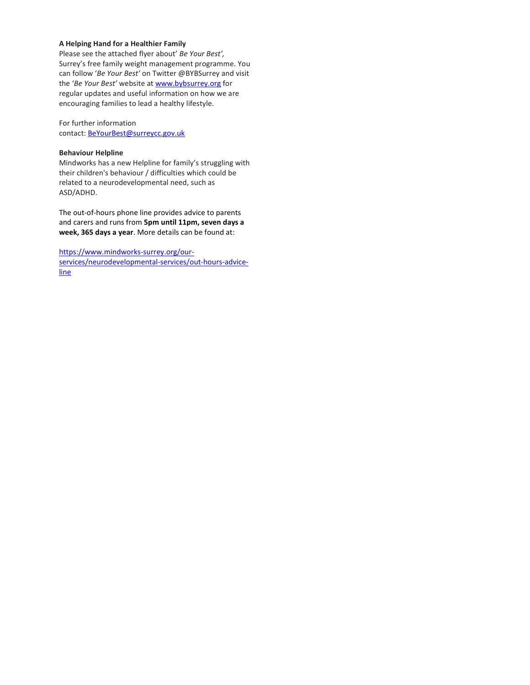### A Helping Hand for a Healthier Family

Please see the attached flyer about' Be Your Best', Surrey's free family weight management programme. You can follow 'Be Your Best' on Twitter @BYBSurrey and visit the 'Be Your Best' website at www.bybsurrey.org for regular updates and useful information on how we are encouraging families to lead a healthy lifestyle.

For further information contact: BeYourBest@surreycc.gov.uk

### Behaviour Helpline

Mindworks has a new Helpline for family's struggling with their children's behaviour / difficulties which could be related to a neurodevelopmental need, such as ASD/ADHD.

The out-of-hours phone line provides advice to parents and carers and runs from 5pm until 11pm, seven days a week, 365 days a year. More details can be found at:

https://www.mindworks-surrey.org/ourservices/neurodevelopmental-services/out-hours-adviceline